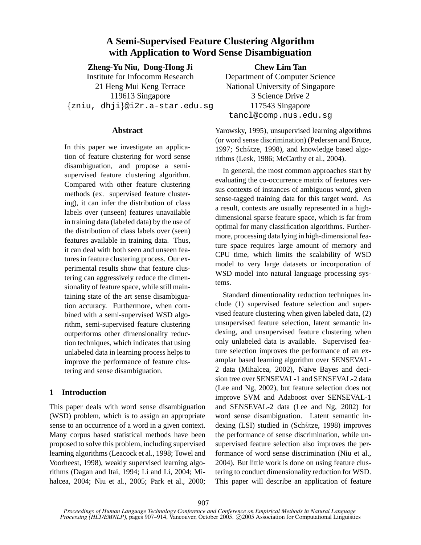# **A Semi-Supervised Feature Clustering Algorithm with Application to Word Sense Disambiguation**

**Zheng-Yu Niu, Dong-Hong Ji** Institute for Infocomm Research 21 Heng Mui Keng Terrace 119613 Singapore

{zniu, dhji}@i2r.a-star.edu.sg

# **Abstract**

In this paper we investigate an application of feature clustering for word sense disambiguation, and propose a semisupervised feature clustering algorithm. Compared with other feature clustering methods (ex. supervised feature clustering), it can infer the distribution of class labels over (unseen) features unavailable in training data (labeled data) by the use of the distribution of class labels over (seen) features available in training data. Thus, it can deal with both seen and unseen features in feature clustering process. Our experimental results show that feature clustering can aggressively reduce the dimensionality of feature space, while still maintaining state of the art sense disambiguation accuracy. Furthermore, when combined with a semi-supervised WSD algorithm, semi-supervised feature clustering outperforms other dimensionality reduction techniques, which indicates that using unlabeled data in learning process helps to improve the performance of feature clustering and sense disambiguation.

# **1 Introduction**

This paper deals with word sense disambiguation (WSD) problem, which is to assign an appropriate sense to an occurrence of a word in a given context. Many corpus based statistical methods have been proposed to solve this problem, including supervised learning algorithms (Leacock et al., 1998; Towel and Voorheest, 1998), weakly supervised learning algorithms (Dagan and Itai, 1994; Li and Li, 2004; Mihalcea, 2004; Niu et al., 2005; Park et al., 2000;

**Chew Lim Tan** Department of Computer Science National University of Singapore 3 Science Drive 2 117543 Singapore tancl@comp.nus.edu.sg

Yarowsky, 1995), unsupervised learning algorithms (or word sense discrimination) (Pedersen and Bruce, 1997; Schütze, 1998), and knowledge based algorithms (Lesk, 1986; McCarthy et al., 2004).

In general, the most common approaches start by evaluating the co-occurrence matrix of features versus contexts of instances of ambiguous word, given sense-tagged training data for this target word. As a result, contexts are usually represented in a highdimensional sparse feature space, which is far from optimal for many classification algorithms. Furthermore, processing data lying in high-dimensional feature space requires large amount of memory and CPU time, which limits the scalability of WSD model to very large datasets or incorporation of WSD model into natural language processing systems.

Standard dimentionality reduction techniques include (1) supervised feature selection and supervised feature clustering when given labeled data, (2) unsupervised feature selection, latent semantic indexing, and unsupervised feature clustering when only unlabeled data is available. Supervised feature selection improves the performance of an examplar based learning algorithm over SENSEVAL-2 data (Mihalcea, 2002), Naive Bayes and decision tree over SENSEVAL-1 and SENSEVAL-2 data (Lee and Ng, 2002), but feature selection does not improve SVM and Adaboost over SENSEVAL-1 and SENSEVAL-2 data (Lee and Ng, 2002) for word sense disambiguation. Latent semantic indexing (LSI) studied in (Schütze, 1998) improves the performance of sense discrimination, while unsupervised feature selection also improves the performance of word sense discrimination (Niu et al., 2004). But little work is done on using feature clustering to conduct dimensionality reduction for WSD. This paper will describe an application of feature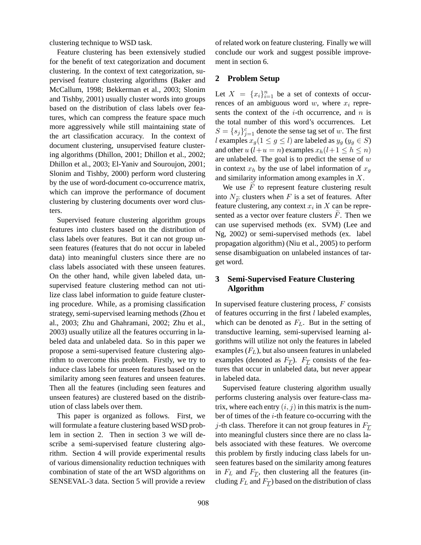clustering technique to WSD task.

Feature clustering has been extensively studied for the benefit of text categorization and document clustering. In the context of text categorization, supervised feature clustering algorithms (Baker and McCallum, 1998; Bekkerman et al., 2003; Slonim and Tishby, 2001) usually cluster words into groups based on the distribution of class labels over features, which can compress the feature space much more aggressively while still maintaining state of the art classification accuracy. In the context of document clustering, unsupervised feature clustering algorithms (Dhillon, 2001; Dhillon et al., 2002; Dhillon et al., 2003; El-Yaniv and Souroujon, 2001; Slonim and Tishby, 2000) perform word clustering by the use of word-document co-occurrence matrix, which can improve the performance of document clustering by clustering documents over word clusters.

Supervised feature clustering algorithm groups features into clusters based on the distribution of class labels over features. But it can not group unseen features (features that do not occur in labeled data) into meaningful clusters since there are no class labels associated with these unseen features. On the other hand, while given labeled data, unsupervised feature clustering method can not utilize class label information to guide feature clustering procedure. While, as a promising classification strategy, semi-supervised learning methods (Zhou et al., 2003; Zhu and Ghahramani, 2002; Zhu et al., 2003) usually utilize all the features occurring in labeled data and unlabeled data. So in this paper we propose a semi-supervised feature clustering algorithm to overcome this problem. Firstly, we try to induce class labels for unseen features based on the similarity among seen features and unseen features. Then all the features (including seen features and unseen features) are clustered based on the distribution of class labels over them.

This paper is organized as follows. First, we will formulate a feature clustering based WSD problem in section 2. Then in section 3 we will describe a semi-supervised feature clustering algorithm. Section 4 will provide experimental results of various dimensionality reduction techniques with combination of state of the art WSD algorithms on SENSEVAL-3 data. Section 5 will provide a review of related work on feature clustering. Finally we will conclude our work and suggest possible improvement in section 6.

# **2 Problem Setup**

Let  $X = \{x_i\}_{i=1}^n$  be a set of contexts of occurrences of an ambiguous word  $w$ , where  $x_i$  represents the context of the  $i$ -th occurrence, and  $n$  is the total number of this word's occurrences. Let  $S = \{s_j\}_{j=1}^c$  denote the sense tag set of w. The first l examples  $x_g(1 \le g \le l)$  are labeled as  $y_g (y_g \in S)$ and other  $u (l+u = n)$  examples  $x_h(l+1 \leq h \leq n)$ are unlabeled. The goal is to predict the sense of  $w$ in context  $x_h$  by the use of label information of  $x_g$ and similarity information among examples in X.

We use  $\overline{F}$  to represent feature clustering result into  $N_{\widetilde{F}}$  clusters when F is a set of features. After feature clustering, any context  $x_i$  in  $X$  can be represented as a vector over feature clusters  $\overline{F}$ . Then we can use supervised methods (ex. SVM) (Lee and Ng, 2002) or semi-supervised methods (ex. label propagation algorithm) (Niu et al., 2005) to perform sense disambiguation on unlabeled instances of target word.

# **3 Semi-Supervised Feature Clustering Algorithm**

In supervised feature clustering process,  $F$  consists of features occurring in the first  $l$  labeled examples, which can be denoted as  $F<sub>L</sub>$ . But in the setting of transductive learning, semi-supervised learning algorithms will utilize not only the features in labeled examples  $(F_L)$ , but also unseen features in unlabeled examples (denoted as  $F_{\overline{L}}$ ).  $F_{\overline{L}}$  consists of the features that occur in unlabeled data, but never appear in labeled data.

Supervised feature clustering algorithm usually performs clustering analysis over feature-class matrix, where each entry  $(i, j)$  in this matrix is the number of times of the *i*-th feature co-occurring with the j-th class. Therefore it can not group features in  $F_{\overline{L}}$ into meaningful clusters since there are no class labels associated with these features. We overcome this problem by firstly inducing class labels for unseen features based on the similarity among features in  $F_L$  and  $F_{\overline{L}}$ , then clustering all the features (including  $F_L$  and  $F_{\overline{L}}$ ) based on the distribution of class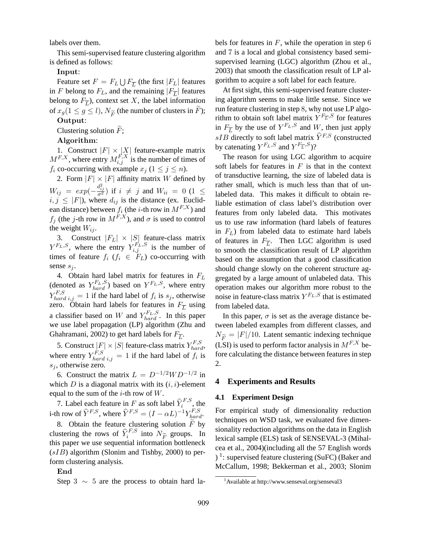labels over them.

This semi-supervised feature clustering algorithm is defined as follows:

# Input:

Feature set  $F = F_L \bigcup F_{\overline{L}}$  (the first  $|F_L|$  features in F belong to  $F_L$ , and the remaining  $|F_{\overline{L}}|$  features belong to  $F_{\overline{L}}$ ), context set X, the label information of  $x_g(1 \le g \le l)$ ,  $N_{\widetilde{F}}$  (the number of clusters in F);

# Output:

Clustering solution  $\overline{F}$ ;

## Algorithm:

1. Construct  $|F| \times |X|$  feature-example matrix  $M^{F,X}$ , where entry  $M_{i,j}^{F,X}$  is the number of times of  $f_i$  co-occurring with example  $x_j$   $(1 \le j \le n)$ .

2. Form  $|F| \times |F|$  affinity matrix W defined by  $W_{ij} = exp(-\frac{d_{ij}^2}{\sigma^2})$  if  $i \neq j$  and  $W_{ii} = 0$  (1  $\leq$  $i, j \leq |F|$ ), where  $d_{ij}$  is the distance (ex. Euclidean distance) between  $f_i$  (the *i*-th row in  $M^{F,X}$ ) and  $f_j$  (the j-th row in  $M^{F,X}$ ), and  $\sigma$  is used to control the weight  $W_{ij}$ .

3. Construct  $|F_L| \times |S|$  feature-class matrix  $Y^{F_L,S}$ , where the entry  $Y^{F_L,S}_{i,j}$  is the number of times of feature  $f_i$  ( $f_i \in F_L$ ) co-occurring with sense  $s_i$ .

4. Obtain hard label matrix for features in  $F<sub>L</sub>$ (denoted as  $Y_{hard}^{F_L, S}$ ) based on  $Y^{F_L, S}$ , where entry  $Y_{hard i,j}^{F,S} = 1$  if the hard label of  $f_i$  is  $s_j$ , otherwise zero. Obtain hard labels for features in  $F_{\overline{L}}$  using a classifier based on W and  $Y_{hard}^{F_L, S}$ . In this paper we use label propagation (LP) algorithm (Zhu and Ghahramani, 2002) to get hard labels for  $F_{\overline{L}}$ .

5. Construct  $|F| \times |S|$  feature-class matrix  $Y_{hard}^{F,S}$ , where entry  $Y_{hard\ ij,j}^{F,S} = 1$  if the hard label of  $f_i$  is  $s_i$ , otherwise zero.

6. Construct the matrix  $L = D^{-1/2}WD^{-1/2}$  in which  $D$  is a diagonal matrix with its  $(i, i)$ -element equal to the sum of the  $i$ -th row of  $W$ .

7. Label each feature in F as soft label  $\hat{Y}_i^{F,S}$ , the i-th row of  $\hat{Y}^{F,S}$ , where  $\hat{Y}^{F,S} = (I - \alpha L)^{-1} Y^{F,S}_{hard}$ .

8. Obtain the feature clustering solution  $F$  by clustering the rows of  $\hat{Y}_i^{F,S}$  into  $N_{\widetilde{F}}$  groups. In this paper we use sequential information bottleneck  $(sIB)$  algorithm (Slonim and Tishby, 2000) to perform clustering analysis.

#### End

Step 3  $\sim$  5 are the process to obtain hard la-

bels for features in  $F$ , while the operation in step 6 and 7 is a local and global consistency based semisupervised learning (LGC) algorithm (Zhou et al., 2003) that smooth the classification result of LP algorithm to acquire a soft label for each feature.

At first sight, this semi-supervised feature clustering algorithm seems to make little sense. Since we run feature clustering in step 8, why not use LP algorithm to obtain soft label matrix  $Y^{F_{\overline{L}},S}$  for features in  $F_{\overline{L}}$  by the use of  $Y^{F_L,S}$  and  $W$ , then just apply  $sIB$  directly to soft label matrix  $\widehat{Y}^{F,S}$  (constructed by catenating  $Y^{F_L,S}$  and  $Y^{F_{\overline{L}},S}$ ?

The reason for using LGC algorithm to acquire soft labels for features in  $F$  is that in the context of transductive learning, the size of labeled data is rather small, which is much less than that of unlabeled data. This makes it difficult to obtain reliable estimation of class label's distribution over features from only labeled data. This motivates us to use raw information (hard labels of features in  $F<sub>L</sub>$ ) from labeled data to estimate hard labels of features in  $F_{\overline{L}}$ . Then LGC algorithm is used to smooth the classification result of LP algorithm based on the assumption that a good classification should change slowly on the coherent structure aggregated by a large amount of unlabeled data. This operation makes our algorithm more robust to the noise in feature-class matrix  $Y^{F_L,S}$  that is estimated from labeled data.

In this paper,  $\sigma$  is set as the average distance between labeled examples from different classes, and  $N_{\widetilde{F}} = |F|/10$ . Latent semantic indexing technique (LSI) is used to perform factor analysis in  $M^{F,X}$  before calculating the distance between features in step 2.

### **4 Experiments and Results**

#### **4.1 Experiment Design**

For empirical study of dimensionality reduction techniques on WSD task, we evaluated five dimensionality reduction algorithms on the data in English lexical sample (ELS) task of SENSEVAL-3 (Mihalcea et al., 2004)(including all the 57 English words ) 1 : supervised feature clustering (SuFC) (Baker and McCallum, 1998; Bekkerman et al., 2003; Slonim

<sup>&</sup>lt;sup>1</sup>Available at http://www.senseval.org/senseval3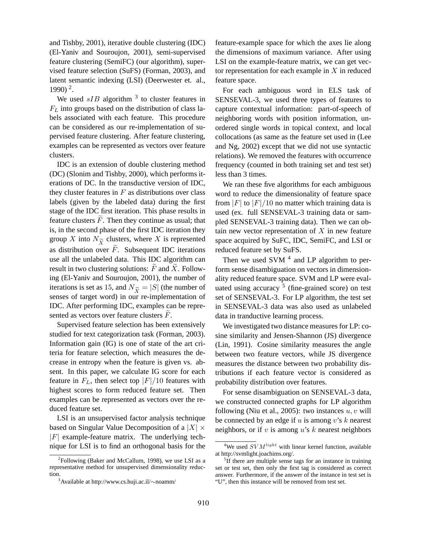and Tishby, 2001), iterative double clustering (IDC) (El-Yaniv and Souroujon, 2001), semi-supervised feature clustering (SemiFC) (our algorithm), supervised feature selection (SuFS) (Forman, 2003), and latent semantic indexing (LSI) (Deerwester et. al., 1990) <sup>2</sup> .

We used  $sIB$  algorithm <sup>3</sup> to cluster features in  $F<sub>L</sub>$  into groups based on the distribution of class labels associated with each feature. This procedure can be considered as our re-implementation of supervised feature clustering. After feature clustering, examples can be represented as vectors over feature clusters.

IDC is an extension of double clustering method (DC) (Slonim and Tishby, 2000), which performs iterations of DC. In the transductive version of IDC, they cluster features in  $F$  as distributions over class labels (given by the labeled data) during the first stage of the IDC first iteration. This phase results in feature clusters  $\overline{F}$ . Then they continue as usual; that is, in the second phase of the first IDC iteration they group X into  $N_{\widetilde{X}}$  clusters, where X is represented as distribution over  $\tilde{F}$ . Subsequent IDC iterations use all the unlabeled data. This IDC algorithm can result in two clustering solutions:  $\widetilde{F}$  and  $\widetilde{X}$ . Following (El-Yaniv and Souroujon, 2001), the number of iterations is set as 15, and  $N_{\widetilde{X}} = |S|$  (the number of senses of target word) in our re-implementation of IDC. After performing IDC, examples can be represented as vectors over feature clusters  $F$ .

Supervised feature selection has been extensively studied for text categorization task (Forman, 2003). Information gain (IG) is one of state of the art criteria for feature selection, which measures the decrease in entropy when the feature is given vs. absent. In this paper, we calculate IG score for each feature in  $F<sub>L</sub>$ , then select top  $|F|/10$  features with highest scores to form reduced feature set. Then examples can be represented as vectors over the reduced feature set.

LSI is an unsupervised factor analysis technique based on Singular Value Decomposition of a  $|X| \times$  $|F|$  example-feature matrix. The underlying technique for LSI is to find an orthogonal basis for the feature-example space for which the axes lie along the dimensions of maximum variance. After using LSI on the example-feature matrix, we can get vector representation for each example in  $X$  in reduced feature space.

For each ambiguous word in ELS task of SENSEVAL-3, we used three types of features to capture contextual information: part-of-speech of neighboring words with position information, unordered single words in topical context, and local collocations (as same as the feature set used in (Lee and Ng, 2002) except that we did not use syntactic relations). We removed the features with occurrence frequency (counted in both training set and test set) less than 3 times.

We ran these five algorithms for each ambiguous word to reduce the dimensionality of feature space from  $|F|$  to  $|F|/10$  no matter which training data is used (ex. full SENSEVAL-3 training data or sampled SENSEVAL-3 training data). Then we can obtain new vector representation of  $X$  in new feature space acquired by SuFC, IDC, SemiFC, and LSI or reduced feature set by SuFS.

Then we used SVM  $<sup>4</sup>$  and LP algorithm to per-</sup> form sense disambiguation on vectors in dimensionality reduced feature space. SVM and LP were evaluated using accuracy <sup>5</sup> (fine-grained score) on test set of SENSEVAL-3. For LP algorithm, the test set in SENSEVAL-3 data was also used as unlabeled data in tranductive learning process.

We investigated two distance measures for LP: cosine similarity and Jensen-Shannon (JS) divergence (Lin, 1991). Cosine similarity measures the angle between two feature vectors, while JS divergence measures the distance between two probability distributions if each feature vector is considered as probability distribution over features.

For sense disambiguation on SENSEVAL-3 data, we constructed connected graphs for LP algorithm following (Niu et al., 2005): two instances  $u, v$  will be connected by an edge if  $u$  is among  $v$ 's  $k$  nearest neighbors, or if  $v$  is among  $u$ 's  $k$  nearest neighbors

 $2$ Following (Baker and McCallum, 1998), we use LSI as a representative method for unsupervised dimensionality reduction.

<sup>3</sup>Available at http://www.cs.huji.ac.il/∼noamm/

<sup>&</sup>lt;sup>4</sup>We used  $SVM<sup>light</sup>$  with linear kernel function, available at http://svmlight.joachims.org/.

<sup>&</sup>lt;sup>5</sup>If there are multiple sense tags for an instance in training set or test set, then only the first tag is considered as correct answer. Furthermore, if the answer of the instance in test set is "U", then this instance will be removed from test set.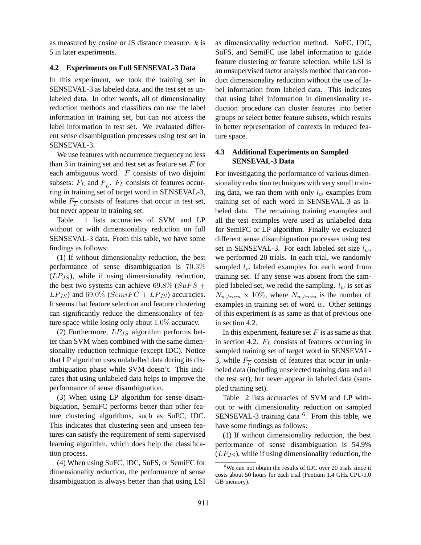as measured by cosine or JS distance measure. k is 5 in later experiments.

# **4.2 Experiments on Full SENSEVAL-3 Data**

In this experiment, we took the training set in SENSEVAL-3 as labeled data, and the test set as unlabeled data. In other words, all of dimensionality reduction methods and classifiers can use the label information in training set, but can not access the label information in test set. We evaluated different sense disambiguation processes using test set in SENSEVAL-3.

We use features with occurrence frequency no less than 3 in training set and test set as feature set  $F$  for each ambiguous word.  $F$  consists of two disjoint subsets:  $F_L$  and  $F_{\overline{L}}$ .  $F_L$  consists of features occurring in training set of target word in SENSEVAL-3, while  $F_{\overline{L}}$  consists of features that occur in test set, but never appear in training set.

Table 1 lists accuracies of SVM and LP without or with dimensionality reduction on full SENSEVAL-3 data. From this table, we have some findings as follows:

(1) If without dimensionality reduction, the best performance of sense disambiguation is 70.3%  $(LP_{JS})$ , while if using dimensionality reduction, the best two systems can achieve 69.8% ( $SuFS +$  $LP_{JS}$ ) and 69.0% ( $SemiFC + LP_{JS}$ ) accuracies. It seems that feature selection and feature clustering can significantly reduce the dimensionality of feature space while losing only about 1.0% accuracy.

(2) Furthermore,  $LP_{JS}$  algorithm performs better than SVM when combined with the same dimensionality reduction technique (except IDC). Notice that LP algorithm uses unlabelled data during its disambiguation phase while SVM doesn't. This indicates that using unlabeled data helps to improve the performance of sense disambiguation.

(3) When using LP algorithm for sense disambiguation, SemiFC performs better than other feature clustering algorithms, such as SuFC, IDC. This indicates that clustering seen and unseen features can satisfy the requirement of semi-supervised learning algorithm, which does help the classification process.

(4) When using SuFC, IDC, SuFS, or SemiFC for dimensionality reduction, the performance of sense disambiguation is always better than that using LSI as dimensionality reduction method. SuFC, IDC, SuFS, and SemiFC use label information to guide feature clustering or feature selection, while LSI is an unsupervised factor analysis method that can conduct dimensionality reduction without the use of label information from labeled data. This indicates that using label information in dimensionality reduction procedure can cluster features into better groups or select better feature subsets, which results in better representation of contexts in reduced feature space.

# **4.3 Additional Experiments on Sampled SENSEVAL-3 Data**

For investigating the performance of various dimensionality reduction techniques with very small training data, we ran them with only  $l_w$  examples from training set of each word in SENSEVAL-3 as labeled data. The remaining training examples and all the test examples were used as unlabeled data for SemiFC or LP algorithm. Finally we evaluated different sense disambiguation processes using test set in SENSEVAL-3. For each labeled set size  $l_w$ , we performed 20 trials. In each trial, we randomly sampled  $l_w$  labeled examples for each word from training set. If any sense was absent from the sampled labeled set, we redid the sampling.  $l_w$  is set as  $N_{w,train} \times 10\%$ , where  $N_{w,train}$  is the number of examples in training set of word  $w$ . Other settings of this experiment is as same as that of previous one in section 4.2.

In this experiment, feature set  $F$  is as same as that in section 4.2.  $F<sub>L</sub>$  consists of features occurring in sampled training set of target word in SENSEVAL-3, while  $F_{\overline{L}}$  consists of features that occur in unlabeled data (including unselected training data and all the test set), but never appear in labeled data (sampled training set).

Table 2 lists accuracies of SVM and LP without or with dimensionality reduction on sampled SENSEVAL-3 training data <sup>6</sup>. From this table, we have some findings as follows:

(1) If without dimensionality reduction, the best performance of sense disambiguation is 54.9%  $(LP_{JS})$ , while if using dimensionality reduction, the

 $6$ We can not obtain the results of IDC over 20 trials since it costs about 50 hours for each trial (Pentium 1.4 GHz CPU/1.0 GB memory).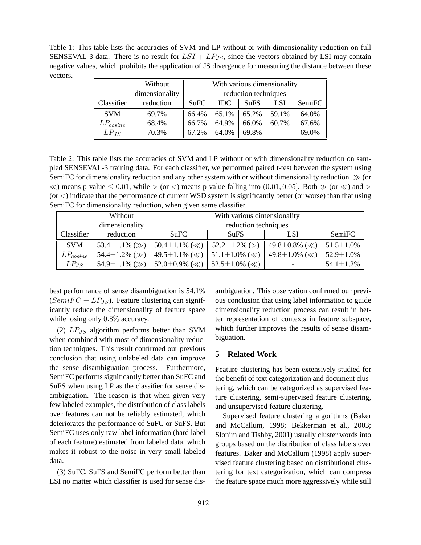Table 1: This table lists the accuracies of SVM and LP without or with dimensionality reduction on full SENSEVAL-3 data. There is no result for  $LSI + LP_{JS}$ , since the vectors obtained by LSI may contain negative values, which prohibits the application of JS divergence for measuring the distance between these vectors.

|               | Without        | With various dimensionality |            |             |            |        |  |
|---------------|----------------|-----------------------------|------------|-------------|------------|--------|--|
|               | dimensionality | reduction techniques        |            |             |            |        |  |
| Classifier    | reduction      | SuFC                        | <b>IDC</b> | <b>SuFS</b> | <b>LSI</b> | SemiFC |  |
| <b>SVM</b>    | 69.7%          | 66.4%                       | 65.1%      | 65.2%       | 59.1%      | 64.0%  |  |
| $LP_{cosine}$ | 68.4%          | 66.7%                       | 64.9%      | 66.0%       | 60.7%      | 67.6%  |  |
| $LP_{JS}$     | 70.3%          | 67.2%                       | 64.0%      | 69.8%       |            | 69.0%  |  |

Table 2: This table lists the accuracies of SVM and LP without or with dimensionality reduction on sampled SENSEVAL-3 training data. For each classifier, we performed paired t-test between the system using SemiFC for dimensionality reduction and any other system with or without dimensionality reduction. ≫ (or  $\ll$ ) means p-value  $\leq 0.01$ , while  $>$  (or  $\lt$ ) means p-value falling into (0.01, 0.05). Both  $\gg$  (or  $\ll$ ) and  $>$  $(or <)$  indicate that the performance of current WSD system is significantly better (or worse) than that using SemiFC for dimensionality reduction, when given same classifier.

|               | Without                   | With various dimensionality |                           |                           |                  |  |  |  |
|---------------|---------------------------|-----------------------------|---------------------------|---------------------------|------------------|--|--|--|
|               | dimensionality            | reduction techniques        |                           |                           |                  |  |  |  |
| Classifier    | reduction                 | SuFC                        | <b>SuFS</b>               | <b>LSI</b>                | SemiFC           |  |  |  |
| <b>SVM</b>    | 53.4 $\pm$ 1.1% ( $\gg$ ) | 50.4 $\pm$ 1.1% ( $\ll$ )   | $52.2 \pm 1.2\%$ (>)      | 49.8 $\pm$ 0.8% ( $\ll$ ) | $51.5 \pm 1.0\%$ |  |  |  |
| $LP_{cosine}$ | 54.4 $\pm$ 1.2% ( $\gg$ ) | 49.5 $\pm$ 1.1% ( $\ll$ )   | 51.1 $\pm$ 1.0% ( $\ll$ ) | 49.8 $\pm$ 1.0% ( $\ll$ ) | $52.9 \pm 1.0\%$ |  |  |  |
| $LP_{JS}$     | 54.9 $\pm$ 1.1% ( $\gg$ ) | 52.0 $\pm$ 0.9% ( $\ll$ )   | 52.5 $\pm$ 1.0% ( $\ll$ ) |                           | $54.1 \pm 1.2\%$ |  |  |  |

best performance of sense disambiguation is 54.1%  $(SemiFC + LP<sub>JS</sub>)$ . Feature clustering can significantly reduce the dimensionality of feature space while losing only  $0.8\%$  accuracy.

(2)  $LP_{JS}$  algorithm performs better than SVM when combined with most of dimensionality reduction techniques. This result confirmed our previous conclusion that using unlabeled data can improve the sense disambiguation process. Furthermore, SemiFC performs significantly better than SuFC and SuFS when using LP as the classifier for sense disambiguation. The reason is that when given very few labeled examples, the distribution of class labels over features can not be reliably estimated, which deteriorates the performance of SuFC or SuFS. But SemiFC uses only raw label information (hard label of each feature) estimated from labeled data, which makes it robust to the noise in very small labeled data.

(3) SuFC, SuFS and SemiFC perform better than LSI no matter which classifier is used for sense disambiguation. This observation confirmed our previous conclusion that using label information to guide dimensionality reduction process can result in better representation of contexts in feature subspace, which further improves the results of sense disambiguation.

# **5 Related Work**

Feature clustering has been extensively studied for the benefit of text categorization and document clustering, which can be categorized as supervised feature clustering, semi-supervised feature clustering, and unsupervised feature clustering.

Supervised feature clustering algorithms (Baker and McCallum, 1998; Bekkerman et al., 2003; Slonim and Tishby, 2001) usually cluster words into groups based on the distribution of class labels over features. Baker and McCallum (1998) apply supervised feature clustering based on distributional clustering for text categorization, which can compress the feature space much more aggressively while still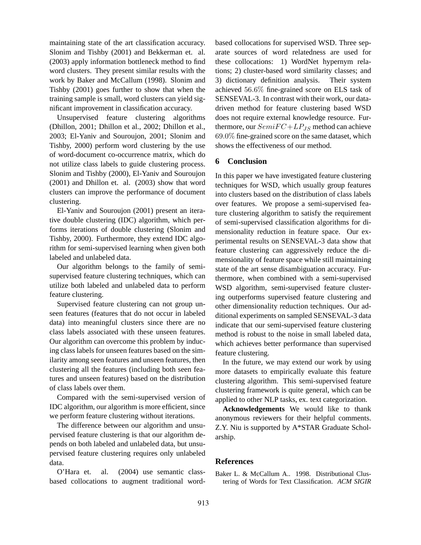maintaining state of the art classification accuracy. Slonim and Tishby (2001) and Bekkerman et. al. (2003) apply information bottleneck method to find word clusters. They present similar results with the work by Baker and McCallum (1998). Slonim and Tishby (2001) goes further to show that when the training sample is small, word clusters can yield significant improvement in classification accuracy.

Unsupervised feature clustering algorithms (Dhillon, 2001; Dhillon et al., 2002; Dhillon et al., 2003; El-Yaniv and Souroujon, 2001; Slonim and Tishby, 2000) perform word clustering by the use of word-document co-occurrence matrix, which do not utilize class labels to guide clustering process. Slonim and Tishby (2000), El-Yaniv and Souroujon (2001) and Dhillon et. al. (2003) show that word clusters can improve the performance of document clustering.

El-Yaniv and Souroujon (2001) present an iterative double clustering (IDC) algorithm, which performs iterations of double clustering (Slonim and Tishby, 2000). Furthermore, they extend IDC algorithm for semi-supervised learning when given both labeled and unlabeled data.

Our algorithm belongs to the family of semisupervised feature clustering techniques, which can utilize both labeled and unlabeled data to perform feature clustering.

Supervised feature clustering can not group unseen features (features that do not occur in labeled data) into meaningful clusters since there are no class labels associated with these unseen features. Our algorithm can overcome this problem by inducing class labels for unseen features based on the similarity among seen features and unseen features, then clustering all the features (including both seen features and unseen features) based on the distribution of class labels over them.

Compared with the semi-supervised version of IDC algorithm, our algorithm is more efficient, since we perform feature clustering without iterations.

The difference between our algorithm and unsupervised feature clustering is that our algorithm depends on both labeled and unlabeled data, but unsupervised feature clustering requires only unlabeled data.

O'Hara et. al. (2004) use semantic classbased collocations to augment traditional wordbased collocations for supervised WSD. Three separate sources of word relatedness are used for these collocations: 1) WordNet hypernym relations; 2) cluster-based word similarity classes; and 3) dictionary definition analysis. Their system achieved 56.6% fine-grained score on ELS task of SENSEVAL-3. In contrast with their work, our datadriven method for feature clustering based WSD does not require external knowledge resource. Furthermore, our  $SemiFC+LP_{JS}$  method can achieve 69.0% fine-grained score on the same dataset, which shows the effectiveness of our method.

## **6 Conclusion**

In this paper we have investigated feature clustering techniques for WSD, which usually group features into clusters based on the distribution of class labels over features. We propose a semi-supervised feature clustering algorithm to satisfy the requirement of semi-supervised classification algorithms for dimensionality reduction in feature space. Our experimental results on SENSEVAL-3 data show that feature clustering can aggressively reduce the dimensionality of feature space while still maintaining state of the art sense disambiguation accuracy. Furthermore, when combined with a semi-supervised WSD algorithm, semi-supervised feature clustering outperforms supervised feature clustering and other dimensionality reduction techniques. Our additional experiments on sampled SENSEVAL-3 data indicate that our semi-supervised feature clustering method is robust to the noise in small labeled data, which achieves better performance than supervised feature clustering.

In the future, we may extend our work by using more datasets to empirically evaluate this feature clustering algorithm. This semi-supervised feature clustering framework is quite general, which can be applied to other NLP tasks, ex. text categorization.

**Acknowledgements** We would like to thank anonymous reviewers for their helpful comments. Z.Y. Niu is supported by A\*STAR Graduate Scholarship.

# **References**

Baker L. & McCallum A.. 1998. Distributional Clustering of Words for Text Classification. *ACM SIGIR*